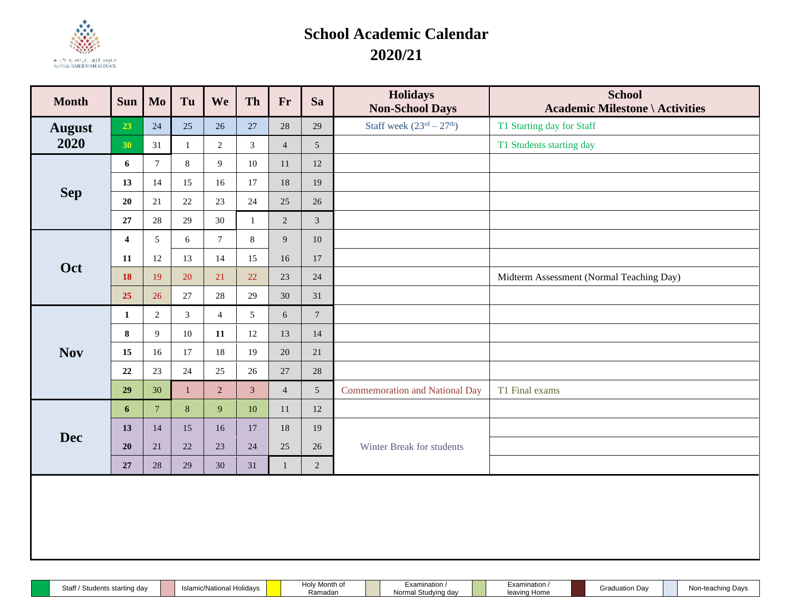

## **School Academic Calendar 2020/21**

| <b>Month</b>          | <b>Sun</b>              | Mo             | Tu             | We             | Th             | Fr             | Sa             | Holidays<br><b>Non-School Days</b>    | <b>School</b><br><b>Academic Milestone \ Activities</b> |
|-----------------------|-------------------------|----------------|----------------|----------------|----------------|----------------|----------------|---------------------------------------|---------------------------------------------------------|
| <b>August</b><br>2020 | 23                      | 24             | 25             | 26             | $27\,$         | 28             | 29             | Staff week $(23rd – 27th)$            | T1 Starting day for Staff                               |
|                       | 30 <sup>°</sup>         | 31             | $\mathbf{1}$   | $\overline{2}$ | $\overline{3}$ | $\overline{4}$ | $\overline{5}$ |                                       | T1 Students starting day                                |
| <b>Sep</b>            | 6                       | $\overline{7}$ | $8\,$          | 9              | 10             | $11\,$         | 12             |                                       |                                                         |
|                       | 13                      | 14             | 15             | 16             | 17             | 18             | 19             |                                       |                                                         |
|                       | 20                      | 21             | $22\,$         | 23             | 24             | 25             | 26             |                                       |                                                         |
|                       | $\bf 27$                | 28             | 29             | 30             | $\mathbf{1}$   | $\overline{c}$ | $\mathfrak{Z}$ |                                       |                                                         |
| Oct                   | $\overline{\mathbf{4}}$ | 5              | $6\,$          | $\tau$         | $8\,$          | $\overline{9}$ | 10             |                                       |                                                         |
|                       | ${\bf 11}$              | 12             | 13             | 14             | 15             | $16\,$         | $17\,$         |                                       |                                                         |
|                       | 18                      | 19             | 20             | 21             | 22             | 23             | 24             |                                       | Midterm Assessment (Normal Teaching Day)                |
|                       | 25                      | 26             | $27\,$         | $28\,$         | 29             | 30             | 31             |                                       |                                                         |
| <b>Nov</b>            | $\mathbf{1}$            | $\overline{2}$ | $\mathfrak{Z}$ | $\overline{4}$ | 5 <sup>5</sup> | 6              | $\overline{7}$ |                                       |                                                         |
|                       | $\bf8$                  | $\overline{9}$ | $10\,$         | 11             | 12             | 13             | 14             |                                       |                                                         |
|                       | 15                      | 16             | 17             | 18             | 19             | 20             | 21             |                                       |                                                         |
|                       | 22                      | 23             | 24             | 25             | 26             | $27\,$         | 28             |                                       |                                                         |
|                       | 29                      | 30             | $\mathbf{1}$   | $\sqrt{2}$     | 3 <sup>7</sup> | $\overline{4}$ | $\overline{5}$ | <b>Commemoration and National Day</b> | T1 Final exams                                          |
| <b>Dec</b>            | 6                       | $\overline{7}$ | $\bf 8$        | 9              | 10             | $11\,$         | 12             |                                       |                                                         |
|                       | 13                      | 14             | 15             | 16             | $17\,$         | $18\,$         | 19             |                                       |                                                         |
|                       | 20                      | 21             | 22             | 23             | 24             | 25             | 26             | Winter Break for students             |                                                         |
|                       | 27                      | 28             | 29             | $30\,$         | 31             | $\mathbf{1}$   | $\overline{c}$ |                                       |                                                         |
|                       |                         |                |                |                |                |                |                |                                       |                                                         |